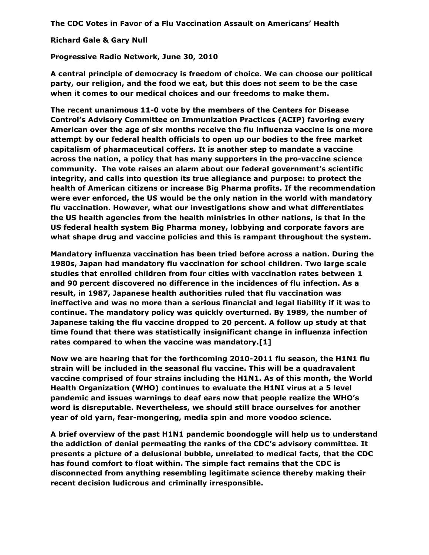**The CDC Votes in Favor of a Flu Vaccination Assault on Americans' Health**

**Richard Gale & Gary Null**

**Progressive Radio Network, June 30, 2010**

**A central principle of democracy is freedom of choice. We can choose our political party, our religion, and the food we eat, but this does not seem to be the case when it comes to our medical choices and our freedoms to make them.** 

**The recent unanimous 11-0 vote by the members of the Centers for Disease Control's Advisory Committee on Immunization Practices (ACIP) favoring every American over the age of six months receive the flu influenza vaccine is one more attempt by our federal health officials to open up our bodies to the free market capitalism of pharmaceutical coffers. It is another step to mandate a vaccine across the nation, a policy that has many supporters in the pro-vaccine science community. The vote raises an alarm about our federal government's scientific integrity, and calls into question its true allegiance and purpose: to protect the health of American citizens or increase Big Pharma profits. If the recommendation were ever enforced, the US would be the only nation in the world with mandatory flu vaccination. However, what our investigations show and what differentiates the US health agencies from the health ministries in other nations, is that in the US federal health system Big Pharma money, lobbying and corporate favors are what shape drug and vaccine policies and this is rampant throughout the system.** 

**Mandatory influenza vaccination has been tried before across a nation. During the 1980s, Japan had mandatory flu vaccination for school children. Two large scale studies that enrolled children from four cities with vaccination rates between 1 and 90 percent discovered no difference in the incidences of flu infection. As a result, in 1987, Japanese health authorities ruled that flu vaccination was ineffective and was no more than a serious financial and legal liability if it was to continue. The mandatory policy was quickly overturned. By 1989, the number of Japanese taking the flu vaccine dropped to 20 percent. A follow up study at that time found that there was statistically insignificant change in influenza infection rates compared to when the vaccine was mandatory.[1]** 

**Now we are hearing that for the forthcoming 2010-2011 flu season, the H1N1 flu strain will be included in the seasonal flu vaccine. This will be a quadravalent vaccine comprised of four strains including the H1N1. As of this month, the World Health Organization (WHO) continues to evaluate the H1NI virus at a 5 level pandemic and issues warnings to deaf ears now that people realize the WHO's word is disreputable. Nevertheless, we should still brace ourselves for another year of old yarn, fear-mongering, media spin and more voodoo science.** 

**A brief overview of the past H1N1 pandemic boondoggle will help us to understand the addiction of denial permeating the ranks of the CDC's advisory committee. It presents a picture of a delusional bubble, unrelated to medical facts, that the CDC has found comfort to float within. The simple fact remains that the CDC is disconnected from anything resembling legitimate science thereby making their recent decision ludicrous and criminally irresponsible.**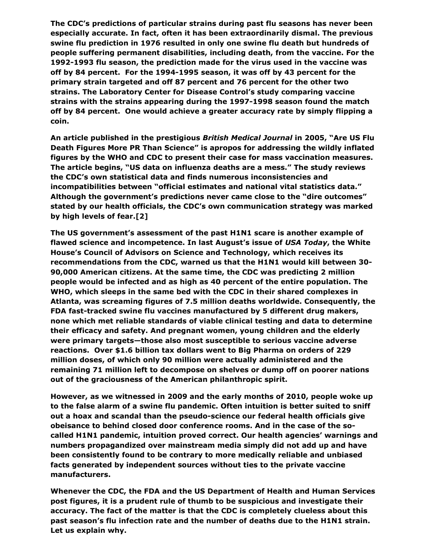**The CDC's predictions of particular strains during past flu seasons has never been especially accurate. In fact, often it has been extraordinarily dismal. The previous swine flu prediction in 1976 resulted in only one swine flu death but hundreds of people suffering permanent disabilities, including death, from the vaccine. For the 1992-1993 flu season, the prediction made for the virus used in the vaccine was off by 84 percent. For the 1994-1995 season, it was off by 43 percent for the primary strain targeted and off 87 percent and 76 percent for the other two strains. The Laboratory Center for Disease Control's study comparing vaccine strains with the strains appearing during the 1997-1998 season found the match off by 84 percent. One would achieve a greater accuracy rate by simply flipping a coin.**

**An article published in the prestigious** *British Medical Journal* **in 2005, "Are US Flu Death Figures More PR Than Science" is apropos for addressing the wildly inflated figures by the WHO and CDC to present their case for mass vaccination measures. The article begins, "US data on influenza deaths are a mess." The study reviews the CDC's own statistical data and finds numerous inconsistencies and incompatibilities between "official estimates and national vital statistics data." Although the government's predictions never came close to the "dire outcomes" stated by our health officials, the CDC's own communication strategy was marked by high levels of fear.[2]**

**The US government's assessment of the past H1N1 scare is another example of flawed science and incompetence. In last August's issue of** *USA Today***, the White House's Council of Advisors on Science and Technology, which receives its recommendations from the CDC, warned us that the H1N1 would kill between 30- 90,000 American citizens. At the same time, the CDC was predicting 2 million people would be infected and as high as 40 percent of the entire population. The WHO, which sleeps in the same bed with the CDC in their shared complexes in Atlanta, was screaming figures of 7.5 million deaths worldwide. Consequently, the FDA fast-tracked swine flu vaccines manufactured by 5 different drug makers, none which met reliable standards of viable clinical testing and data to determine their efficacy and safety. And pregnant women, young children and the elderly were primary targets—those also most susceptible to serious vaccine adverse reactions. Over \$1.6 billion tax dollars went to Big Pharma on orders of 229 million doses, of which only 90 million were actually administered and the remaining 71 million left to decompose on shelves or dump off on poorer nations out of the graciousness of the American philanthropic spirit.** 

**However, as we witnessed in 2009 and the early months of 2010, people woke up to the false alarm of a swine flu pandemic. Often intuition is better suited to sniff out a hoax and scandal than the pseudo-science our federal health officials give obeisance to behind closed door conference rooms. And in the case of the socalled H1N1 pandemic, intuition proved correct. Our health agencies' warnings and numbers propagandized over mainstream media simply did not add up and have been consistently found to be contrary to more medically reliable and unbiased facts generated by independent sources without ties to the private vaccine manufacturers.** 

**Whenever the CDC, the FDA and the US Department of Health and Human Services post figures, it is a prudent rule of thumb to be suspicious and investigate their accuracy. The fact of the matter is that the CDC is completely clueless about this past season's flu infection rate and the number of deaths due to the H1N1 strain. Let us explain why.**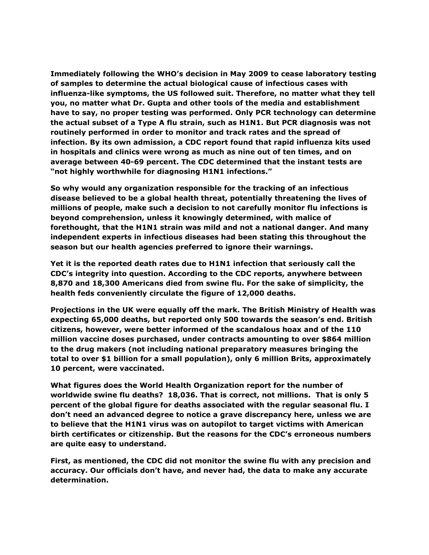**Immediately following the WHO's decision in May 2009 to cease laboratory testing of samples to determine the actual biological cause of infectious cases with influenza-like symptoms, the US followed suit. Therefore, no matter what they tell you, no matter what Dr. Gupta and other tools of the media and establishment have to say, no proper testing was performed. Only PCR technology can determine the actual subset of a Type A flu strain, such as H1N1. But PCR diagnosis was not routinely performed in order to monitor and track rates and the spread of infection. By its own admission, a CDC report found that rapid influenza kits used in hospitals and clinics were wrong as much as nine out of ten times, and on average between 40-69 percent. The CDC determined that the instant tests are "not highly worthwhile for diagnosing H1N1 infections."** 

**So why would any organization responsible for the tracking of an infectious disease believed to be a global health threat, potentially threatening the lives of millions of people, make such a decision to not carefully monitor flu infections is beyond comprehension, unless it knowingly determined, with malice of forethought, that the H1N1 strain was mild and not a national danger. And many independent experts in infectious diseases had been stating this throughout the season but our health agencies preferred to ignore their warnings.**

**Yet it is the reported death rates due to H1N1 infection that seriously call the CDC's integrity into question. According to the CDC reports, anywhere between 8,870 and 18,300 Americans died from swine flu. For the sake of simplicity, the health feds conveniently circulate the figure of 12,000 deaths.** 

**Projections in the UK were equally off the mark. The British Ministry of Health was expecting 65,000 deaths, but reported only 500 towards the season's end. British citizens, however, were better informed of the scandalous hoax and of the 110 million vaccine doses purchased, under contracts amounting to over \$864 million to the drug makers (not including national preparatory measures bringing the total to over \$1 billion for a small population), only 6 million Brits, approximately 10 percent, were vaccinated.** 

**What figures does the World Health Organization report for the number of worldwide swine flu deaths? 18,036. That is correct, not millions. That is only 5 percent of the global figure for deaths associated with the regular seasonal flu. I don't need an advanced degree to notice a grave discrepancy here, unless we are to believe that the H1N1 virus was on autopilot to target victims with American birth certificates or citizenship. But the reasons for the CDC's erroneous numbers are quite easy to understand.** 

**First, as mentioned, the CDC did not monitor the swine flu with any precision and accuracy. Our officials don't have, and never had, the data to make any accurate determination.**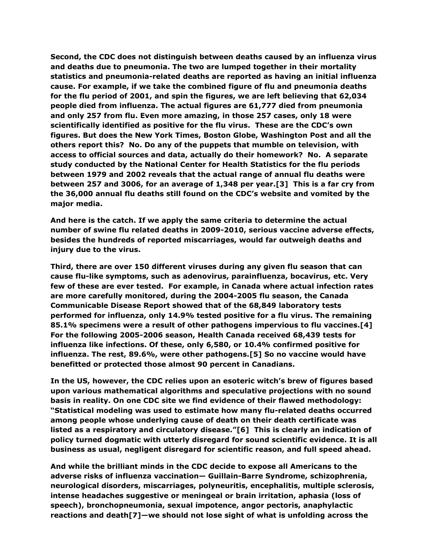**Second, the CDC does not distinguish between deaths caused by an influenza virus and deaths due to pneumonia. The two are lumped together in their mortality statistics and pneumonia-related deaths are reported as having an initial influenza cause. For example, if we take the combined figure of flu and pneumonia deaths for the flu period of 2001, and spin the figures, we are left believing that 62,034 people died from influenza. The actual figures are 61,777 died from pneumonia and only 257 from flu. Even more amazing, in those 257 cases, only 18 were scientifically identified as positive for the flu virus. These are the CDC's own figures. But does the New York Times, Boston Globe, Washington Post and all the others report this? No. Do any of the puppets that mumble on television, with access to official sources and data, actually do their homework? No. A separate study conducted by the National Center for Health Statistics for the flu periods between 1979 and 2002 reveals that the actual range of annual flu deaths were between 257 and 3006, for an average of 1,348 per year.[3] This is a far cry from the 36,000 annual flu deaths still found on the CDC's website and vomited by the major media.**

**And here is the catch. If we apply the same criteria to determine the actual number of swine flu related deaths in 2009-2010, serious vaccine adverse effects, besides the hundreds of reported miscarriages, would far outweigh deaths and injury due to the virus.**

**Third, there are over 150 different viruses during any given flu season that can cause flu-like symptoms, such as adenovirus, parainfluenza, bocavirus, etc. Very few of these are ever tested. For example, in Canada where actual infection rates are more carefully monitored, during the 2004-2005 flu season, the Canada Communicable Disease Report showed that of the 68,849 laboratory tests performed for influenza, only 14.9% tested positive for a flu virus. The remaining 85.1% specimens were a result of other pathogens impervious to flu vaccines.[4] For the following 2005-2006 season, Health Canada received 68,439 tests for influenza like infections. Of these, only 6,580, or 10.4% confirmed positive for influenza. The rest, 89.6%, were other pathogens.[5] So no vaccine would have benefitted or protected those almost 90 percent in Canadians.** 

**In the US, however, the CDC relies upon an esoteric witch's brew of figures based upon various mathematical algorithms and speculative projections with no sound basis in reality. On one CDC site we find evidence of their flawed methodology: "Statistical modeling was used to estimate how many flu-related deaths occurred among people whose underlying cause of death on their death certificate was listed as a respiratory and circulatory disease."[6] This is clearly an indication of policy turned dogmatic with utterly disregard for sound scientific evidence. It is all business as usual, negligent disregard for scientific reason, and full speed ahead.**

**And while the brilliant minds in the CDC decide to expose all Americans to the adverse risks of influenza vaccination— Guillain-Barre Syndrome, schizophrenia, neurological disorders, miscarriages, polyneuritis, encephalitis, multiple sclerosis, intense headaches suggestive or meningeal or brain irritation, aphasia (loss of speech), bronchopneumonia, sexual impotence, angor pectoris, anaphylactic reactions and death[7]—we should not lose sight of what is unfolding across the**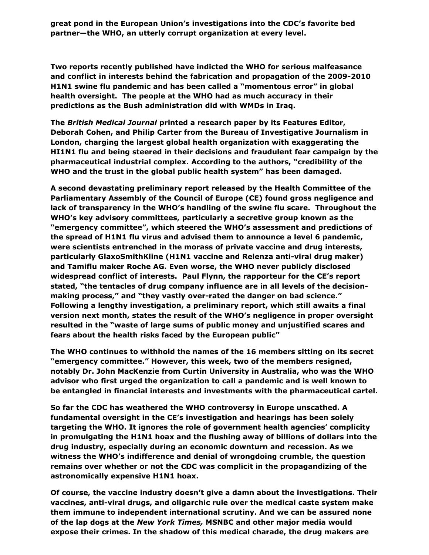**great pond in the European Union's investigations into the CDC's favorite bed partner—the WHO, an utterly corrupt organization at every level.**

**Two reports recently published have indicted the WHO for serious malfeasance and conflict in interests behind the fabrication and propagation of the 2009-2010 H1N1 swine flu pandemic and has been called a "momentous error" in global health oversight. The people at the WHO had as much accuracy in their predictions as the Bush administration did with WMDs in Iraq.** 

**The** *British Medical Journal* **printed a research paper by its Features Editor, Deborah Cohen, and Philip Carter from the Bureau of Investigative Journalism in London, charging the largest global health organization with exaggerating the HI1N1 flu and being steered in their decisions and fraudulent fear campaign by the pharmaceutical industrial complex. According to the authors, "credibility of the WHO and the trust in the global public health system" has been damaged.** 

**A second devastating preliminary report released by the Health Committee of the Parliamentary Assembly of the Council of Europe (CE) found gross negligence and lack of transparency in the WHO's handling of the swine flu scare. Throughout the WHO's key advisory committees, particularly a secretive group known as the "emergency committee", which steered the WHO's assessment and predictions of the spread of H1N1 flu virus and advised them to announce a level 6 pandemic, were scientists entrenched in the morass of private vaccine and drug interests, particularly GlaxoSmithKline (H1N1 vaccine and Relenza anti-viral drug maker) and Tamiflu maker Roche AG. Even worse, the WHO never publicly disclosed widespread conflict of interests. Paul Flynn, the rapporteur for the CE's report stated, "the tentacles of drug company influence are in all levels of the decisionmaking process," and "they vastly over-rated the danger on bad science." Following a lengthy investigation, a preliminary report, which still awaits a final version next month, states the result of the WHO's negligence in proper oversight resulted in the "waste of large sums of public money and unjustified scares and fears about the health risks faced by the European public"**

**The WHO continues to withhold the names of the 16 members sitting on its secret "emergency committee." However, this week, two of the members resigned, notably Dr. John MacKenzie from Curtin University in Australia, who was the WHO advisor who first urged the organization to call a pandemic and is well known to be entangled in financial interests and investments with the pharmaceutical cartel.**

**So far the CDC has weathered the WHO controversy in Europe unscathed. A fundamental oversight in the CE's investigation and hearings has been solely targeting the WHO. It ignores the role of government health agencies' complicity in promulgating the H1N1 hoax and the flushing away of billions of dollars into the drug industry, especially during an economic downturn and recession. As we witness the WHO's indifference and denial of wrongdoing crumble, the question remains over whether or not the CDC was complicit in the propagandizing of the astronomically expensive H1N1 hoax.**

**Of course, the vaccine industry doesn't give a damn about the investigations. Their vaccines, anti-viral drugs, and oligarchic rule over the medical caste system make them immune to independent international scrutiny. And we can be assured none of the lap dogs at the** *New York Times,* **MSNBC and other major media would expose their crimes. In the shadow of this medical charade, the drug makers are**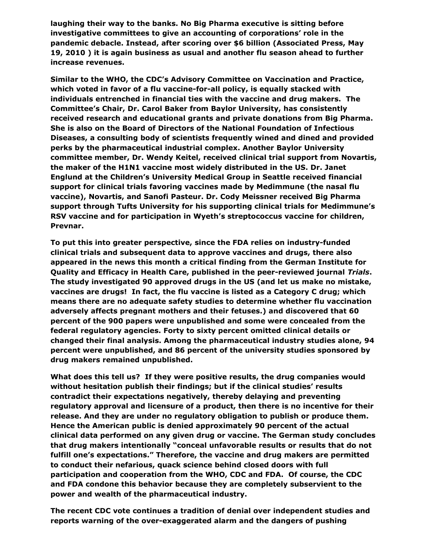**laughing their way to the banks. No Big Pharma executive is sitting before investigative committees to give an accounting of corporations' role in the pandemic debacle. Instead, after scoring over \$6 billion (Associated Press, May 19, 2010 ) it is again business as usual and another flu season ahead to further increase revenues.** 

**Similar to the WHO, the CDC's Advisory Committee on Vaccination and Practice, which voted in favor of a flu vaccine-for-all policy, is equally stacked with individuals entrenched in financial ties with the vaccine and drug makers. The Committee's Chair, Dr. Carol Baker from Baylor University, has consistently received research and educational grants and private donations from Big Pharma. She is also on the Board of Directors of the National Foundation of Infectious Diseases, a consulting body of scientists frequently wined and dined and provided perks by the pharmaceutical industrial complex. Another Baylor University committee member, Dr. Wendy Keitel, received clinical trial support from Novartis, the maker of the H1N1 vaccine most widely distributed in the US. Dr. Janet Englund at the Children's University Medical Group in Seattle received financial support for clinical trials favoring vaccines made by Medimmune (the nasal flu vaccine), Novartis, and Sanofi Pasteur. Dr. Cody Meissner received Big Pharma support through Tufts University for his supporting clinical trials for Medimmune's RSV vaccine and for participation in Wyeth's streptococcus vaccine for children, Prevnar.**

**To put this into greater perspective, since the FDA relies on industry-funded clinical trials and subsequent data to approve vaccines and drugs, there also appeared in the news this month a critical finding from the German Institute for Quality and Efficacy in Health Care, published in the peer-reviewed journal** *Trials***. The study investigated 90 approved drugs in the US (and let us make no mistake, vaccines are drugs! In fact, the flu vaccine is listed as a Category C drug; which means there are no adequate safety studies to determine whether flu vaccination adversely affects pregnant mothers and their fetuses.) and discovered that 60 percent of the 900 papers were unpublished and some were concealed from the federal regulatory agencies. Forty to sixty percent omitted clinical details or changed their final analysis. Among the pharmaceutical industry studies alone, 94 percent were unpublished, and 86 percent of the university studies sponsored by drug makers remained unpublished.** 

**What does this tell us? If they were positive results, the drug companies would without hesitation publish their findings; but if the clinical studies' results contradict their expectations negatively, thereby delaying and preventing regulatory approval and licensure of a product, then there is no incentive for their release. And they are under no regulatory obligation to publish or produce them. Hence the American public is denied approximately 90 percent of the actual clinical data performed on any given drug or vaccine. The German study concludes that drug makers intentionally "conceal unfavorable results or results that do not fulfill one's expectations." Therefore, the vaccine and drug makers are permitted to conduct their nefarious, quack science behind closed doors with full participation and cooperation from the WHO, CDC and FDA. Of course, the CDC and FDA condone this behavior because they are completely subservient to the power and wealth of the pharmaceutical industry.** 

**The recent CDC vote continues a tradition of denial over independent studies and reports warning of the over-exaggerated alarm and the dangers of pushing**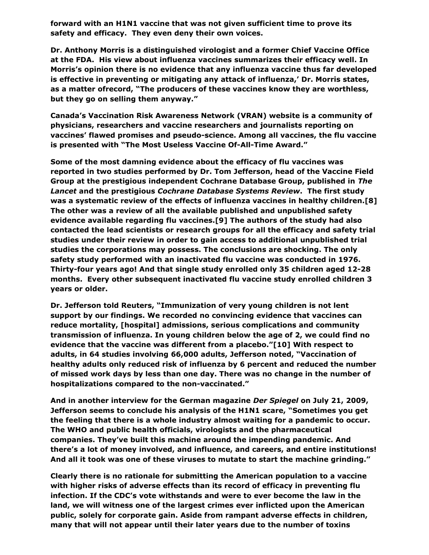**forward with an H1N1 vaccine that was not given sufficient time to prove its safety and efficacy. They even deny their own voices.**

**Dr. Anthony Morris is a distinguished virologist and a former Chief Vaccine Office at the FDA. His view about influenza vaccines summarizes their efficacy well. In Morris's opinion there is no evidence that any influenza vaccine thus far developed is effective in preventing or mitigating any attack of influenza,' Dr. Morris states, as a matter ofrecord, "The producers of these vaccines know they are worthless, but they go on selling them anyway."** 

**Canada's Vaccination Risk Awareness Network (VRAN) website is a community of physicians, researchers and vaccine researchers and journalists reporting on vaccines' flawed promises and pseudo-science. Among all vaccines, the flu vaccine is presented with "The Most Useless Vaccine Of-All-Time Award."** 

**Some of the most damning evidence about the efficacy of flu vaccines was reported in two studies performed by Dr. Tom Jefferson, head of the Vaccine Field Group at the prestigious independent Cochrane Database Group, published in** *The Lancet* **and the prestigious** *Cochrane Database Systems Review***. The first study was a systematic review of the effects of influenza vaccines in healthy children.[8] The other was a review of all the available published and unpublished safety evidence available regarding flu vaccines.[9] The authors of the study had also contacted the lead scientists or research groups for all the efficacy and safety trial studies under their review in order to gain access to additional unpublished trial studies the corporations may possess. The conclusions are shocking. The only safety study performed with an inactivated flu vaccine was conducted in 1976. Thirty-four years ago! And that single study enrolled only 35 children aged 12-28 months. Every other subsequent inactivated flu vaccine study enrolled children 3 years or older.** 

**Dr. Jefferson told Reuters, "Immunization of very young children is not lent support by our findings. We recorded no convincing evidence that vaccines can reduce mortality, [hospital] admissions, serious complications and community transmission of influenza. In young children below the age of 2, we could find no evidence that the vaccine was different from a placebo."[10] With respect to adults, in 64 studies involving 66,000 adults, Jefferson noted, "Vaccination of healthy adults only reduced risk of influenza by 6 percent and reduced the number of missed work days by less than one day. There was no change in the number of hospitalizations compared to the non-vaccinated."**

**And in another interview for the German magazine** *Der Spiegel* **on July 21, 2009, Jefferson seems to conclude his analysis of the H1N1 scare, "Sometimes you get the feeling that there is a whole industry almost waiting for a pandemic to occur. The WHO and public health officials, virologists and the pharmaceutical companies. They've built this machine around the impending pandemic. And there's a lot of money involved, and influence, and careers, and entire institutions! And all it took was one of these viruses to mutate to start the machine grinding."**

**Clearly there is no rationale for submitting the American population to a vaccine with higher risks of adverse effects than its record of efficacy in preventing flu infection. If the CDC's vote withstands and were to ever become the law in the land, we will witness one of the largest crimes ever inflicted upon the American public, solely for corporate gain. Aside from rampant adverse effects in children, many that will not appear until their later years due to the number of toxins**